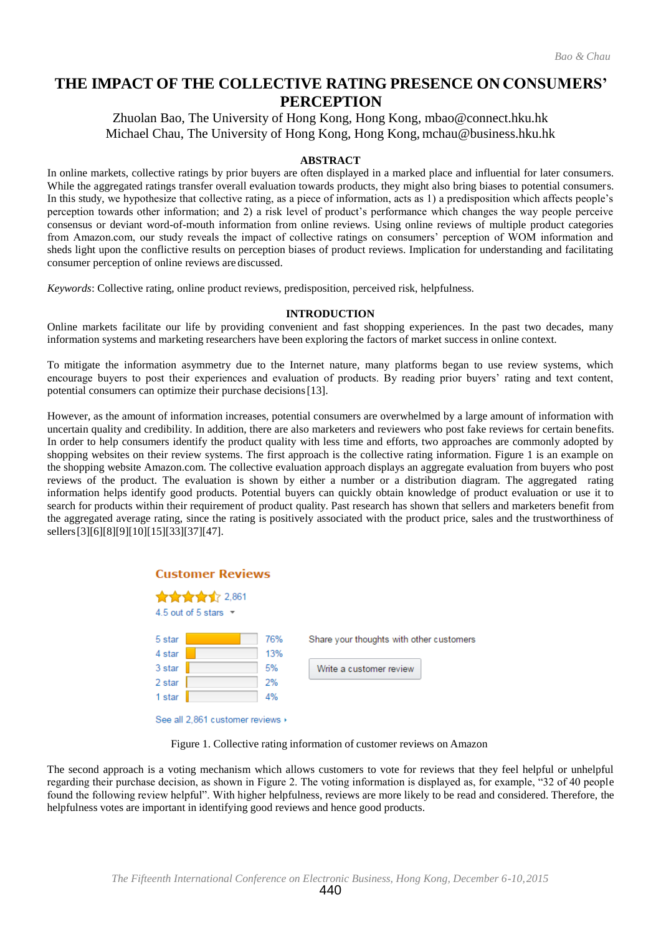# **THE IMPACT OF THE COLLECTIVE RATING PRESENCE ON CONSUMERS' PERCEPTION**

Zhuolan Bao, The University of Hong Kong, Hong Kon[g, mbao@connect.hku.hk](mailto:mbao@connect.hku.hk) Michael Chau, The University of Hong Kong, Hong Kong, [mchau@business.hku.hk](mailto:mchau@business.hku.hk)

## **ABSTRACT**

In online markets, collective ratings by prior buyers are often displayed in a marked place and influential for later consumers. While the aggregated ratings transfer overall evaluation towards products, they might also bring biases to potential consumers. In this study, we hypothesize that collective rating, as a piece of information, acts as 1) a predisposition which affects people's perception towards other information; and 2) a risk level of product's performance which changes the way people perceive consensus or deviant word-of-mouth information from online reviews. Using online reviews of multiple product categories from Amazon.com, our study reveals the impact of collective ratings on consumers' perception of WOM information and sheds light upon the conflictive results on perception biases of product reviews. Implication for understanding and facilitating consumer perception of online reviews are discussed.

*Keywords*: Collective rating, online product reviews, predisposition, perceived risk, helpfulness.

### **INTRODUCTION**

Online markets facilitate our life by providing convenient and fast shopping experiences. In the past two decades, many information systems and marketing researchers have been exploring the factors of market success in online context.

To mitigate the information asymmetry due to the Internet nature, many platforms began to use review systems, which encourage buyers to post their experiences and evaluation of products. By reading prior buyers' rating and text content, potential consumers can optimize their purchase decisions[13].

However, as the amount of information increases, potential consumers are overwhelmed by a large amount of information with uncertain quality and credibility. In addition, there are also marketers and reviewers who post fake reviews for certain benefits. In order to help consumers identify the product quality with less time and efforts, two approaches are commonly adopted by shopping websites on their review systems. The first approach is the collective rating information. Figure 1 is an example on the shopping website Amazon.com. The collective evaluation approach displays an aggregate evaluation from buyers who post reviews of the product. The evaluation is shown by either a number or a distribution diagram. The aggregated rating information helps identify good products. Potential buyers can quickly obtain knowledge of product evaluation or use it to search for products within their requirement of product quality. Past research has shown that sellers and marketers benefit from the aggregated average rating, since the rating is positively associated with the product price, sales and the trustworthiness of sellers<sup>[3][6][8][9][10][15][33][37][47].</sup>

| <b>Customer Reviews</b>                      |                                                 |  |  |  |  |  |  |  |
|----------------------------------------------|-------------------------------------------------|--|--|--|--|--|--|--|
| ★★★★★ 2,861<br>4.5 out of 5 stars $\sqrt{ }$ |                                                 |  |  |  |  |  |  |  |
| 5 star                                       | 76%<br>Share your thoughts with other customers |  |  |  |  |  |  |  |
| 4 star                                       | 13%                                             |  |  |  |  |  |  |  |
| 3 star                                       | 5%<br>Write a customer review                   |  |  |  |  |  |  |  |
| 2 star                                       | 2%                                              |  |  |  |  |  |  |  |
| 1 star                                       | 4%                                              |  |  |  |  |  |  |  |
| See all 2.861 customer reviews ▶             |                                                 |  |  |  |  |  |  |  |

Figure 1. Collective rating information of customer reviews on Amazon

The second approach is a voting mechanism which allows customers to vote for reviews that they feel helpful or unhelpful regarding their purchase decision, as shown in Figure 2. The voting information is displayed as, for example, "32 of 40 people found the following review helpful". With higher helpfulness, reviews are more likely to be read and considered. Therefore, the helpfulness votes are important in identifying good reviews and hence good products.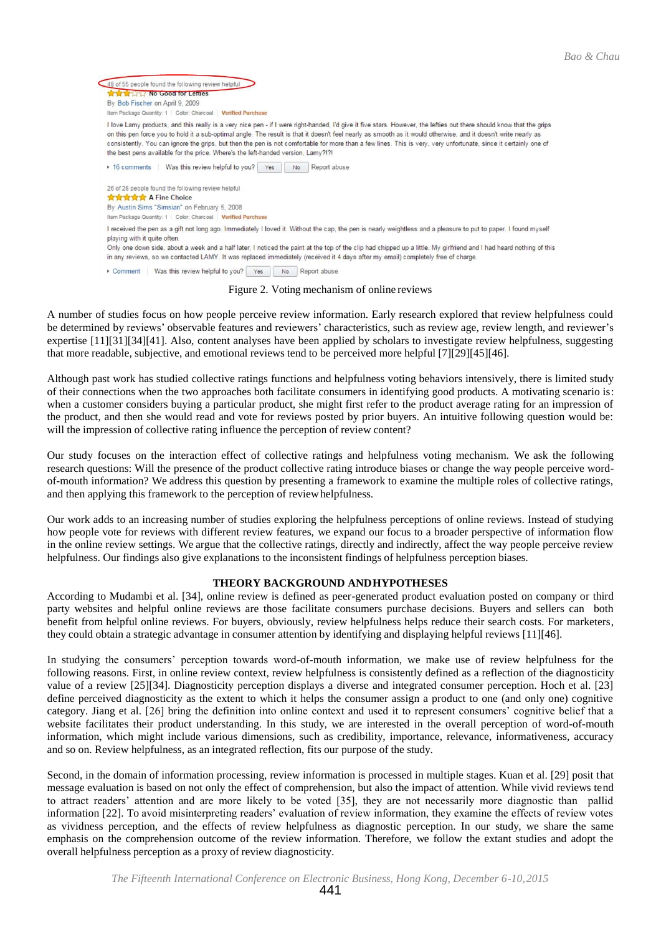

Figure 2. Voting mechanism of online reviews

A number of studies focus on how people perceive review information. Early research explored that review helpfulness could be determined by reviews' observable features and reviewers' characteristics, such as review age, review length, and reviewer's expertise [11][31][34][41]. Also, content analyses have been applied by scholars to investigate review helpfulness, suggesting that more readable, subjective, and emotional reviews tend to be perceived more helpful [7][29][45][46].

Although past work has studied collective ratings functions and helpfulness voting behaviors intensively, there is limited study of their connections when the two approaches both facilitate consumers in identifying good products. A motivating scenario is: when a customer considers buying a particular product, she might first refer to the product average rating for an impression of the product, and then she would read and vote for reviews posted by prior buyers. An intuitive following question would be: will the impression of collective rating influence the perception of review content?

Our study focuses on the interaction effect of collective ratings and helpfulness voting mechanism. We ask the following research questions: Will the presence of the product collective rating introduce biases or change the way people perceive wordof-mouth information? We address this question by presenting a framework to examine the multiple roles of collective ratings, and then applying this framework to the perception of reviewhelpfulness.

Our work adds to an increasing number of studies exploring the helpfulness perceptions of online reviews. Instead of studying how people vote for reviews with different review features, we expand our focus to a broader perspective of information flow in the online review settings. We argue that the collective ratings, directly and indirectly, affect the way people perceive review helpfulness. Our findings also give explanations to the inconsistent findings of helpfulness perception biases.

# **THEORY BACKGROUND ANDHYPOTHESES**

According to Mudambi et al. [34], online review is defined as peer-generated product evaluation posted on company or third party websites and helpful online reviews are those facilitate consumers purchase decisions. Buyers and sellers can both benefit from helpful online reviews. For buyers, obviously, review helpfulness helps reduce their search costs. For marketers, they could obtain a strategic advantage in consumer attention by identifying and displaying helpful reviews [11][46].

In studying the consumers' perception towards word-of-mouth information, we make use of review helpfulness for the following reasons. First, in online review context, review helpfulness is consistently defined as a reflection of the diagnosticity value of a review [25][34]. Diagnosticity perception displays a diverse and integrated consumer perception. Hoch et al. [23] define perceived diagnosticity as the extent to which it helps the consumer assign a product to one (and only one) cognitive category. Jiang et al. [26] bring the definition into online context and used it to represent consumers' cognitive belief that a website facilitates their product understanding. In this study, we are interested in the overall perception of word-of-mouth information, which might include various dimensions, such as credibility, importance, relevance, informativeness, accuracy and so on. Review helpfulness, as an integrated reflection, fits our purpose of the study.

Second, in the domain of information processing, review information is processed in multiple stages. Kuan et al. [29] posit that message evaluation is based on not only the effect of comprehension, but also the impact of attention. While vivid reviews tend to attract readers' attention and are more likely to be voted [35], they are not necessarily more diagnostic than pallid information [22]. To avoid misinterpreting readers' evaluation of review information, they examine the effects of review votes as vividness perception, and the effects of review helpfulness as diagnostic perception. In our study, we share the same emphasis on the comprehension outcome of the review information. Therefore, we follow the extant studies and adopt the overall helpfulness perception as a proxy of review diagnosticity.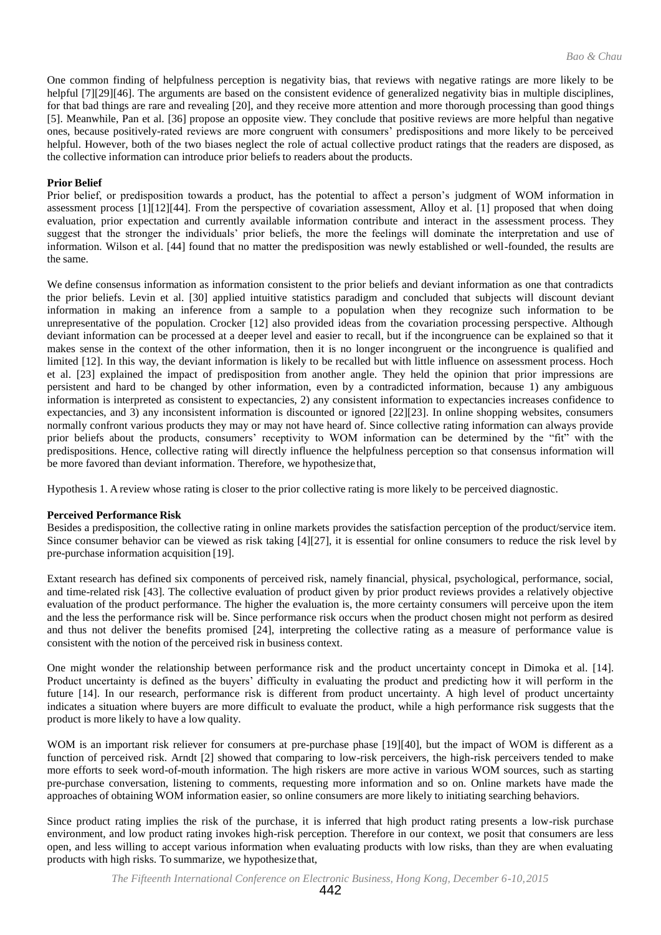One common finding of helpfulness perception is negativity bias, that reviews with negative ratings are more likely to be helpful [7][29][46]. The arguments are based on the consistent evidence of generalized negativity bias in multiple disciplines, for that bad things are rare and revealing [20], and they receive more attention and more thorough processing than good things [5]. Meanwhile, Pan et al. [36] propose an opposite view. They conclude that positive reviews are more helpful than negative ones, because positively-rated reviews are more congruent with consumers' predispositions and more likely to be perceived helpful. However, both of the two biases neglect the role of actual collective product ratings that the readers are disposed, as the collective information can introduce prior beliefs to readers about the products.

# **Prior Belief**

Prior belief, or predisposition towards a product, has the potential to affect a person's judgment of WOM information in assessment process [1][12][44]. From the perspective of covariation assessment, Alloy et al. [1] proposed that when doing evaluation, prior expectation and currently available information contribute and interact in the assessment process. They suggest that the stronger the individuals' prior beliefs, the more the feelings will dominate the interpretation and use of information. Wilson et al. [44] found that no matter the predisposition was newly established or well-founded, the results are the same.

We define consensus information as information consistent to the prior beliefs and deviant information as one that contradicts the prior beliefs. Levin et al. [30] applied intuitive statistics paradigm and concluded that subjects will discount deviant information in making an inference from a sample to a population when they recognize such information to be unrepresentative of the population. Crocker [12] also provided ideas from the covariation processing perspective. Although deviant information can be processed at a deeper level and easier to recall, but if the incongruence can be explained so that it makes sense in the context of the other information, then it is no longer incongruent or the incongruence is qualified and limited [12]. In this way, the deviant information is likely to be recalled but with little influence on assessment process. Hoch et al. [23] explained the impact of predisposition from another angle. They held the opinion that prior impressions are persistent and hard to be changed by other information, even by a contradicted information, because 1) any ambiguous information is interpreted as consistent to expectancies, 2) any consistent information to expectancies increases confidence to expectancies, and 3) any inconsistent information is discounted or ignored [22][23]. In online shopping websites, consumers normally confront various products they may or may not have heard of. Since collective rating information can always provide prior beliefs about the products, consumers' receptivity to WOM information can be determined by the "fit" with the predispositions. Hence, collective rating will directly influence the helpfulness perception so that consensus information will be more favored than deviant information. Therefore, we hypothesize that,

Hypothesis 1. A review whose rating is closer to the prior collective rating is more likely to be perceived diagnostic.

### **Perceived Performance Risk**

Besides a predisposition, the collective rating in online markets provides the satisfaction perception of the product/service item. Since consumer behavior can be viewed as risk taking [4][27], it is essential for online consumers to reduce the risk level by pre-purchase information acquisition [19].

Extant research has defined six components of perceived risk, namely financial, physical, psychological, performance, social, and time-related risk [43]. The collective evaluation of product given by prior product reviews provides a relatively objective evaluation of the product performance. The higher the evaluation is, the more certainty consumers will perceive upon the item and the less the performance risk will be. Since performance risk occurs when the product chosen might not perform as desired and thus not deliver the benefits promised [24], interpreting the collective rating as a measure of performance value is consistent with the notion of the perceived risk in business context.

One might wonder the relationship between performance risk and the product uncertainty concept in Dimoka et al. [14]. Product uncertainty is defined as the buyers' difficulty in evaluating the product and predicting how it will perform in the future [14]. In our research, performance risk is different from product uncertainty. A high level of product uncertainty indicates a situation where buyers are more difficult to evaluate the product, while a high performance risk suggests that the product is more likely to have a low quality.

WOM is an important risk reliever for consumers at pre-purchase phase [19][40], but the impact of WOM is different as a function of perceived risk. Arndt [2] showed that comparing to low-risk perceivers, the high-risk perceivers tended to make more efforts to seek word-of-mouth information. The high riskers are more active in various WOM sources, such as starting pre-purchase conversation, listening to comments, requesting more information and so on. Online markets have made the approaches of obtaining WOM information easier, so online consumers are more likely to initiating searching behaviors.

Since product rating implies the risk of the purchase, it is inferred that high product rating presents a low-risk purchase environment, and low product rating invokes high-risk perception. Therefore in our context, we posit that consumers are less open, and less willing to accept various information when evaluating products with low risks, than they are when evaluating products with high risks. To summarize, we hypothesize that,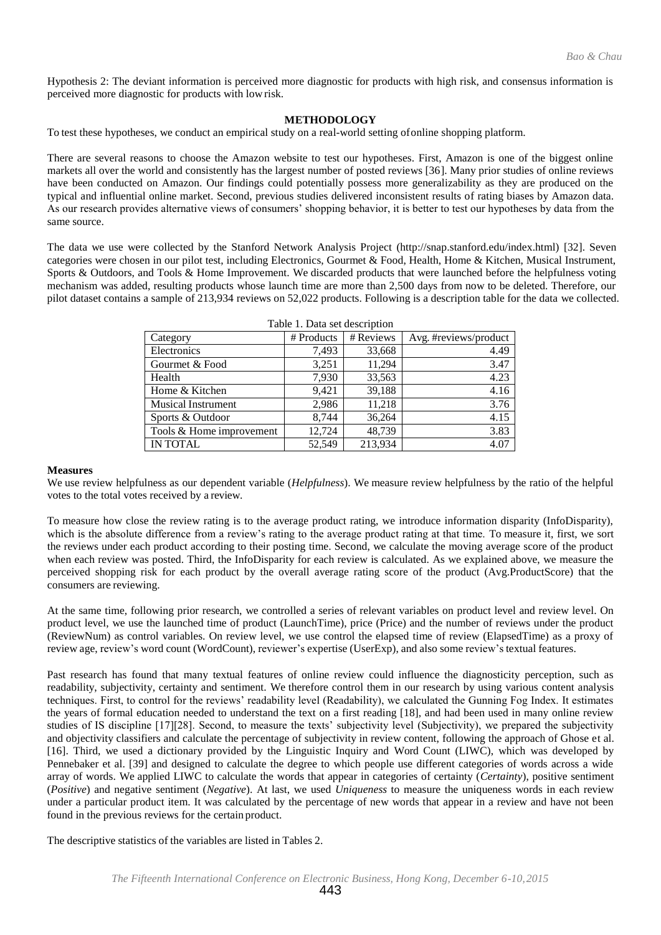Hypothesis 2: The deviant information is perceived more diagnostic for products with high risk, and consensus information is perceived more diagnostic for products with lowrisk.

## **METHODOLOGY**

To test these hypotheses, we conduct an empirical study on a real-world setting ofonline shopping platform.

There are several reasons to choose the Amazon website to test our hypotheses. First, Amazon is one of the biggest online markets all over the world and consistently has the largest number of posted reviews [36]. Many prior studies of online reviews have been conducted on Amazon. Our findings could potentially possess more generalizability as they are produced on the typical and influential online market. Second, previous studies delivered inconsistent results of rating biases by Amazon data. As our research provides alternative views of consumers' shopping behavior, it is better to test our hypotheses by data from the same source.

The data we use were collected by the Stanford Network Analysis Project [\(http://snap.stanford.edu/index.html\)](http://snap.stanford.edu/index.html)) [32]. Seven categories were chosen in our pilot test, including Electronics, Gourmet & Food, Health, Home & Kitchen, Musical Instrument, Sports & Outdoors, and Tools & Home Improvement. We discarded products that were launched before the helpfulness voting mechanism was added, resulting products whose launch time are more than 2,500 days from now to be deleted. Therefore, our pilot dataset contains a sample of 213,934 reviews on 52,022 products. Following is a description table for the data we collected.

| Table 1. Data set description |            |           |                       |  |  |  |  |  |
|-------------------------------|------------|-----------|-----------------------|--|--|--|--|--|
| Category                      | # Products | # Reviews | Avg. #reviews/product |  |  |  |  |  |
| Electronics                   | 7,493      | 33,668    | 4.49                  |  |  |  |  |  |
| Gourmet & Food                | 3,251      | 11,294    | 3.47                  |  |  |  |  |  |
| Health                        | 7,930      | 33,563    | 4.23                  |  |  |  |  |  |
| Home & Kitchen                | 9,421      | 39,188    | 4.16                  |  |  |  |  |  |
| <b>Musical Instrument</b>     | 2,986      | 11,218    | 3.76                  |  |  |  |  |  |
| Sports & Outdoor              | 8.744      | 36,264    | 4.15                  |  |  |  |  |  |
| Tools & Home improvement      | 12,724     | 48,739    | 3.83                  |  |  |  |  |  |
| <b>IN TOTAL</b>               | 52,549     | 213,934   | 4.07                  |  |  |  |  |  |

#### **Measures**

We use review helpfulness as our dependent variable (*Helpfulness*). We measure review helpfulness by the ratio of the helpful votes to the total votes received by a review.

To measure how close the review rating is to the average product rating, we introduce information disparity (InfoDisparity), which is the absolute difference from a review's rating to the average product rating at that time. To measure it, first, we sort the reviews under each product according to their posting time. Second, we calculate the moving average score of the product when each review was posted. Third, the InfoDisparity for each review is calculated. As we explained above, we measure the perceived shopping risk for each product by the overall average rating score of the product (Avg.ProductScore) that the consumers are reviewing.

At the same time, following prior research, we controlled a series of relevant variables on product level and review level. On product level, we use the launched time of product (LaunchTime), price (Price) and the number of reviews under the product (ReviewNum) as control variables. On review level, we use control the elapsed time of review (ElapsedTime) as a proxy of review age, review's word count (WordCount), reviewer's expertise (UserExp), and also some review's textual features.

Past research has found that many textual features of online review could influence the diagnosticity perception, such as readability, subjectivity, certainty and sentiment. We therefore control them in our research by using various content analysis techniques. First, to control for the reviews' readability level (Readability), we calculated the Gunning Fog Index. It estimates the years of formal education needed to understand the text on a first reading [18], and had been used in many online review studies of IS discipline [17][28]. Second, to measure the texts' subjectivity level (Subjectivity), we prepared the subjectivity and objectivity classifiers and calculate the percentage of subjectivity in review content, following the approach of Ghose et al. [16]. Third, we used a dictionary provided by the Linguistic Inquiry and Word Count (LIWC), which was developed by Pennebaker et al. [39] and designed to calculate the degree to which people use different categories of words across a wide array of words. We applied LIWC to calculate the words that appear in categories of certainty (*Certainty*), positive sentiment (*Positive*) and negative sentiment (*Negative*). At last, we used *Uniqueness* to measure the uniqueness words in each review under a particular product item. It was calculated by the percentage of new words that appear in a review and have not been found in the previous reviews for the certain product.

The descriptive statistics of the variables are listed in Tables 2.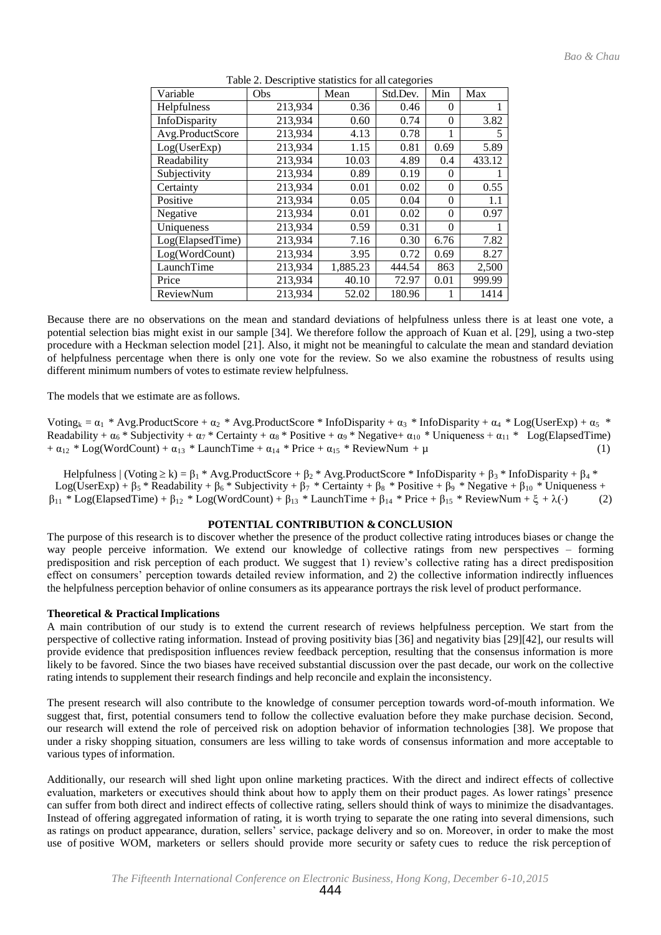| Variable         | Obs     | Mean     | Std.Dev. | Min      | Max    |
|------------------|---------|----------|----------|----------|--------|
| Helpfulness      | 213,934 | 0.36     | 0.46     | $\theta$ | 1      |
| InfoDisparity    | 213,934 | 0.60     | 0.74     | $\theta$ | 3.82   |
| Avg.ProductScore | 213,934 | 4.13     | 0.78     | 1        | 5      |
| Log(UserExp)     | 213,934 | 1.15     | 0.81     | 0.69     | 5.89   |
| Readability      | 213,934 | 10.03    | 4.89     | 0.4      | 433.12 |
| Subjectivity     | 213,934 | 0.89     | 0.19     | $\theta$ | 1      |
| Certainty        | 213,934 | 0.01     | 0.02     | $\theta$ | 0.55   |
| Positive         | 213,934 | 0.05     | 0.04     | $\theta$ | 1.1    |
| Negative         | 213,934 | 0.01     | 0.02     | $\theta$ | 0.97   |
| Uniqueness       | 213,934 | 0.59     | 0.31     | $\Omega$ |        |
| Log(ElapsedTime) | 213,934 | 7.16     | 0.30     | 6.76     | 7.82   |
| Log(WordCount)   | 213,934 | 3.95     | 0.72     | 0.69     | 8.27   |
| LaunchTime       | 213,934 | 1,885.23 | 444.54   | 863      | 2,500  |
| Price            | 213,934 | 40.10    | 72.97    | 0.01     | 999.99 |
| <b>ReviewNum</b> | 213,934 | 52.02    | 180.96   |          | 1414   |

Table 2. Descriptive statistics for all categories

Because there are no observations on the mean and standard deviations of helpfulness unless there is at least one vote, a potential selection bias might exist in our sample [34]. We therefore follow the approach of Kuan et al. [29], using a two-step procedure with a Heckman selection model [21]. Also, it might not be meaningful to calculate the mean and standard deviation of helpfulness percentage when there is only one vote for the review. So we also examine the robustness of results using different minimum numbers of votes to estimate review helpfulness.

The models that we estimate are asfollows.

Voting<sub>k</sub> =  $\alpha_1$  \* Avg.ProductScore +  $\alpha_2$  \* Avg.ProductScore \* InfoDisparity +  $\alpha_3$  \* InfoDisparity +  $\alpha_4$  \* Log(UserExp) +  $\alpha_5$  \* Readability +  $\alpha_6$  \* Subjectivity +  $\alpha_7$  \* Certainty +  $\alpha_8$  \* Positive +  $\alpha_9$  \* Negative+  $\alpha_{10}$  \* Uniqueness +  $\alpha_{11}$  \* Log(ElapsedTime) +  $\alpha_{12}$  \* Log(WordCount) +  $\alpha_{13}$  \* LaunchTime +  $\alpha_{14}$  \* Price +  $\alpha_{15}$  \* ReviewNum +  $\mu$  (1)

Helpfulness | (Voting  $\ge k$ ) =  $\beta_1$  \* Avg.ProductScore +  $\beta_2$  \* Avg.ProductScore \* InfoDisparity +  $\beta_3$  \* InfoDisparity +  $\beta_4$  \* Log(UserExp) +  $\beta_5$  \* Readability +  $\beta_6$  \* Subjectivity +  $\beta_7$  \* Certainty +  $\beta_8$  \* Positive +  $\beta_9$  \* Negative +  $\beta_{10}$  \* Uniqueness +  $\beta_{11}$  \* Log(ElapsedTime) +  $\beta_{12}$  \* Log(WordCount) +  $\beta_{13}$  \* LaunchTime +  $\beta_{14}$  \* Price +  $\beta_{15}$  \* ReviewNum +  $\xi$  +  $\lambda(\cdot)$  (2)

## **POTENTIAL CONTRIBUTION & CONCLUSION**

The purpose of this research is to discover whether the presence of the product collective rating introduces biases or change the way people perceive information. We extend our knowledge of collective ratings from new perspectives – forming predisposition and risk perception of each product. We suggest that 1) review's collective rating has a direct predisposition effect on consumers' perception towards detailed review information, and 2) the collective information indirectly influences the helpfulness perception behavior of online consumers as its appearance portrays the risk level of product performance.

### **Theoretical & Practical Implications**

A main contribution of our study is to extend the current research of reviews helpfulness perception. We start from the perspective of collective rating information. Instead of proving positivity bias [36] and negativity bias [29][42], our results will provide evidence that predisposition influences review feedback perception, resulting that the consensus information is more likely to be favored. Since the two biases have received substantial discussion over the past decade, our work on the collective rating intends to supplement their research findings and help reconcile and explain the inconsistency.

The present research will also contribute to the knowledge of consumer perception towards word-of-mouth information. We suggest that, first, potential consumers tend to follow the collective evaluation before they make purchase decision. Second, our research will extend the role of perceived risk on adoption behavior of information technologies [38]. We propose that under a risky shopping situation, consumers are less willing to take words of consensus information and more acceptable to various types of information.

Additionally, our research will shed light upon online marketing practices. With the direct and indirect effects of collective evaluation, marketers or executives should think about how to apply them on their product pages. As lower ratings' presence can suffer from both direct and indirect effects of collective rating, sellers should think of ways to minimize the disadvantages. Instead of offering aggregated information of rating, it is worth trying to separate the one rating into several dimensions, such as ratings on product appearance, duration, sellers' service, package delivery and so on. Moreover, in order to make the most use of positive WOM, marketers or sellers should provide more security or safety cues to reduce the risk perception of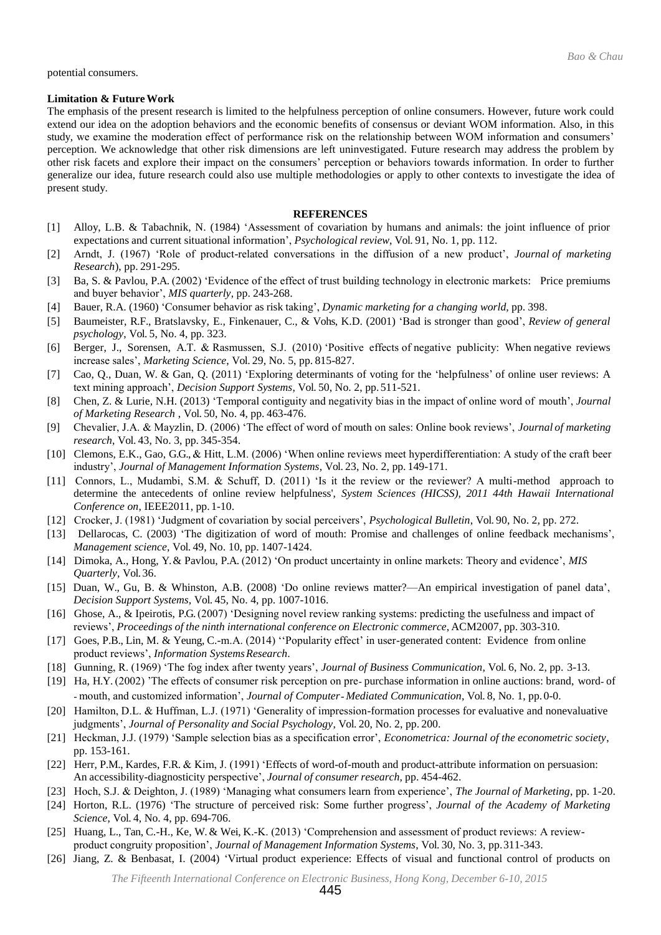potential consumers.

#### **Limitation & FutureWork**

The emphasis of the present research is limited to the helpfulness perception of online consumers. However, future work could extend our idea on the adoption behaviors and the economic benefits of consensus or deviant WOM information. Also, in this study, we examine the moderation effect of performance risk on the relationship between WOM information and consumers' perception. We acknowledge that other risk dimensions are left uninvestigated. Future research may address the problem by other risk facets and explore their impact on the consumers' perception or behaviors towards information. In order to further generalize our idea, future research could also use multiple methodologies or apply to other contexts to investigate the idea of present study.

#### **REFERENCES**

- [1] Alloy, L.B. & Tabachnik, N. (1984) 'Assessment of covariation by humans and animals: the joint influence of prior expectations and current situational information', *Psychological review*, Vol. 91, No. 1, pp. 112.
- [2] Arndt, J. (1967) 'Role of product-related conversations in the diffusion of a new product', *Journal of marketing Research*), pp. 291-295.
- [3] Ba, S. & Pavlou, P.A. (2002) 'Evidence of the effect of trust building technology in electronic markets: Price premiums and buyer behavior', *MIS quarterly*, pp. 243-268.
- [4] Bauer, R.A. (1960) 'Consumer behavior as risk taking', *Dynamic marketing for a changing world,* pp. 398.
- [5] Baumeister, R.F., Bratslavsky, E., Finkenauer, C., & Vohs, K.D. (2001) 'Bad is stronger than good', *Review of general psychology*, Vol. 5, No. 4, pp. 323.
- [6] Berger, J., Sorensen, A.T. & Rasmussen, S.J. (2010) 'Positive effects of negative publicity: When negative reviews increase sales', *Marketing Science*, Vol. 29, No. 5, pp. 815-827.
- [7] Cao, Q., Duan, W. & Gan, Q. (2011) 'Exploring determinants of voting for the 'helpfulness' of online user reviews: A text mining approach', *Decision Support Systems*, Vol. 50, No. 2, pp. 511-521.
- [8] Chen, Z. & Lurie, N.H. (2013) 'Temporal contiguity and negativity bias in the impact of online word of mouth', *Journal of Marketing Research* , Vol. 50, No. 4, pp. 463-476.
- [9] Chevalier, J.A. & Mayzlin, D. (2006) 'The effect of word of mouth on sales: Online book reviews', *Journal of marketing research*, Vol. 43, No. 3, pp. 345-354.
- [10] Clemons, E.K., Gao, G.G., & Hitt, L.M. (2006) 'When online reviews meet hyperdifferentiation: A study of the craft beer industry', *Journal of Management Information Systems*, Vol. 23, No. 2, pp. 149-171.
- [11] Connors, L., Mudambi, S.M. & Schuff, D. (2011) 'Is it the review or the reviewer? A multi-method approach to determine the antecedents of online review helpfulness', *System Sciences (HICSS), 2011 44th Hawaii International Conference on*, IEEE2011, pp. 1-10.
- [12] Crocker, J. (1981) 'Judgment of covariation by social perceivers', *Psychological Bulletin*, Vol. 90, No. 2, pp. 272.
- [13] Dellarocas, C. (2003) 'The digitization of word of mouth: Promise and challenges of online feedback mechanisms', *Management science*, Vol. 49, No. 10, pp. 1407-1424.
- [14] Dimoka, A., Hong, Y. & Pavlou, P.A. (2012) 'On product uncertainty in online markets: Theory and evidence', *MIS Quarterly,* Vol.36.
- [15] Duan, W., Gu, B. & Whinston, A.B. (2008) 'Do online reviews matter?—An empirical investigation of panel data', *Decision Support Systems*, Vol. 45, No. 4, pp. 1007-1016.
- [16] Ghose, A., & Ipeirotis, P.G. (2007) 'Designing novel review ranking systems: predicting the usefulness and impact of reviews', *Proceedings of the ninth international conference on Electronic commerce*, ACM2007, pp. 303-310.
- [17] Goes, P.B., Lin, M. & Yeung, C.-m.A. (2014) "Popularity effect' in user-generated content: Evidence from online product reviews', *Information SystemsResearch*.
- [18] Gunning, R. (1969) 'The fog index after twenty years', *Journal of Business Communication*, Vol. 6, No. 2, pp. 3-13.
- [19] Ha, H.Y. (2002) 'The effects of consumer risk perception on pre-purchase information in online auctions: brand, word- of ‐ mouth, and customized information', *Journal of Computer*‐ *Mediated Communication*, Vol. 8, No. 1, pp.0-0.
- [20] Hamilton, D.L. & Huffman, L.J. (1971) 'Generality of impression-formation processes for evaluative and nonevaluative judgments', *Journal of Personality and Social Psychology*, Vol. 20, No. 2, pp. 200.
- [21] Heckman, J.J. (1979) 'Sample selection bias as a specification error', *Econometrica: Journal of the econometric society*, pp. 153-161.
- [22] Herr, P.M., Kardes, F.R. & Kim, J. (1991) 'Effects of word-of-mouth and product-attribute information on persuasion: An accessibility-diagnosticity perspective', *Journal of consumer research*, pp. 454-462.
- [23] Hoch, S.J. & Deighton, J. (1989) 'Managing what consumers learn from experience', *The Journal of Marketing*, pp. 1-20.
- [24] Horton, R.L. (1976) 'The structure of perceived risk: Some further progress', *Journal of the Academy of Marketing Science*, Vol. 4, No. 4, pp. 694-706.
- [25] Huang, L., Tan, C.-H., Ke, W. & Wei, K.-K. (2013) 'Comprehension and assessment of product reviews: A reviewproduct congruity proposition', *Journal of Management Information Systems*, Vol. 30, No. 3, pp.311-343.
- [26] Jiang, Z. & Benbasat, I. (2004) 'Virtual product experience: Effects of visual and functional control of products on